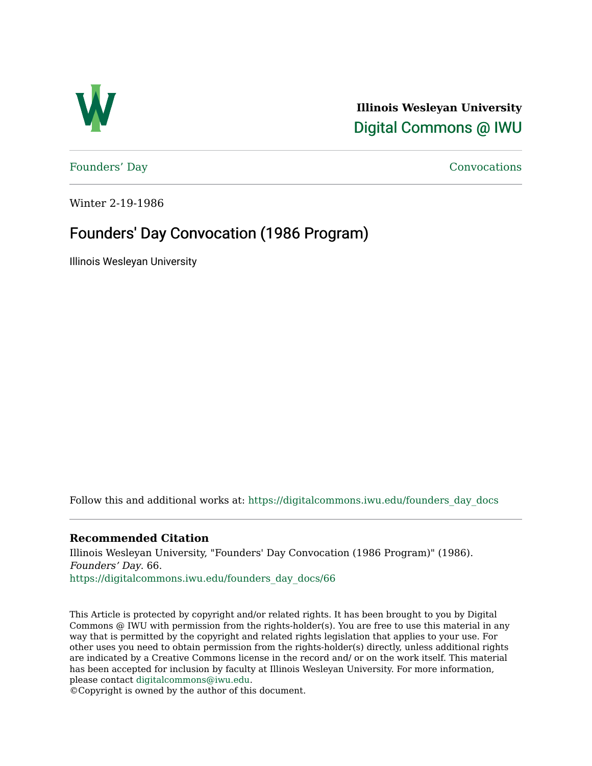

**Illinois Wesleyan University**  [Digital Commons @ IWU](https://digitalcommons.iwu.edu/) 

[Founders' Day](https://digitalcommons.iwu.edu/founders_day_docs) [Convocations](https://digitalcommons.iwu.edu/convocations_docs) 

Winter 2-19-1986

### Founders' Day Convocation (1986 Program)

Illinois Wesleyan University

Follow this and additional works at: [https://digitalcommons.iwu.edu/founders\\_day\\_docs](https://digitalcommons.iwu.edu/founders_day_docs?utm_source=digitalcommons.iwu.edu%2Ffounders_day_docs%2F66&utm_medium=PDF&utm_campaign=PDFCoverPages) 

#### **Recommended Citation**

Illinois Wesleyan University, "Founders' Day Convocation (1986 Program)" (1986). Founders' Day. 66. [https://digitalcommons.iwu.edu/founders\\_day\\_docs/66](https://digitalcommons.iwu.edu/founders_day_docs/66?utm_source=digitalcommons.iwu.edu%2Ffounders_day_docs%2F66&utm_medium=PDF&utm_campaign=PDFCoverPages)

This Article is protected by copyright and/or related rights. It has been brought to you by Digital Commons @ IWU with permission from the rights-holder(s). You are free to use this material in any way that is permitted by the copyright and related rights legislation that applies to your use. For other uses you need to obtain permission from the rights-holder(s) directly, unless additional rights are indicated by a Creative Commons license in the record and/ or on the work itself. This material has been accepted for inclusion by faculty at Illinois Wesleyan University. For more information, please contact [digitalcommons@iwu.edu.](mailto:digitalcommons@iwu.edu)

©Copyright is owned by the author of this document.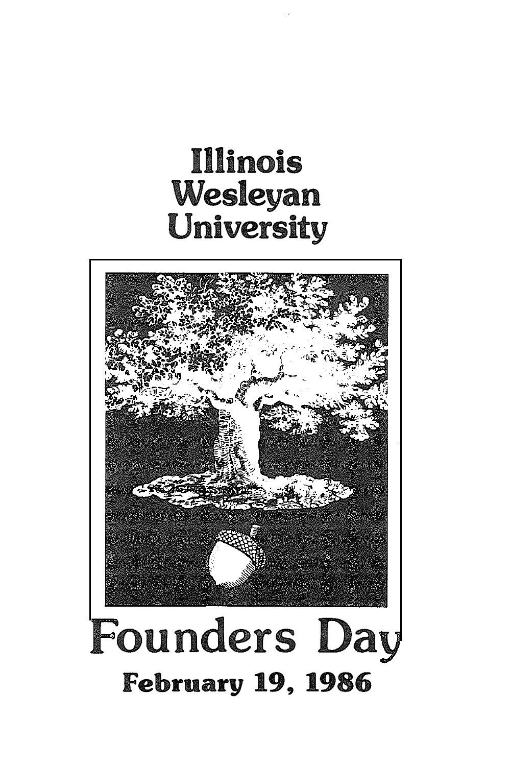# Illinois Wesleyan University

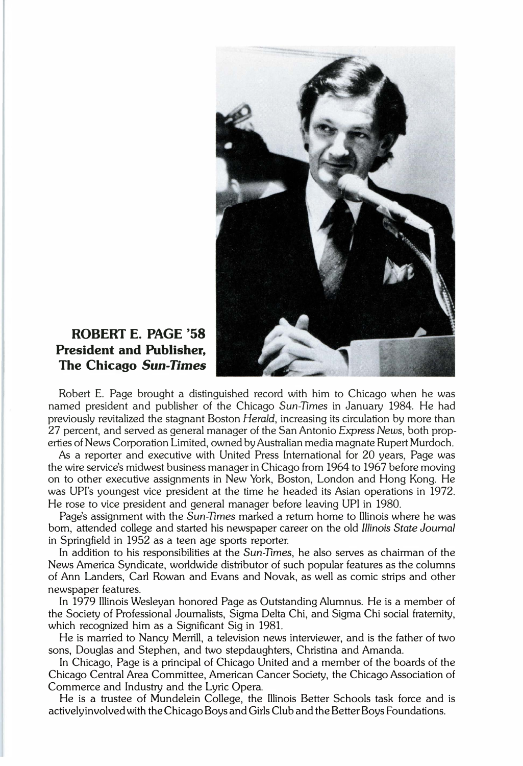

#### ROBERT E. PAGE '58 President and Publisher, The Chicago Sun-Times

Robert E. Page brought a distinguished record with him to Chicago when he was named president and publisher of the Chicago Sun-Times in January 1984. He had previously revitalized the stagnant Boston Herald, increasing its circulation by more than 27 percent, and served as general manager of the San Antonio Express News, both properties of News Corporation Limited, owned by Australian media magnate Rupert Murdoch.

As a reporter and executive with United Press International for 20 years, Page was the wire service's midwest business manager in Chicago from 1964 to 1967 before moving on to other executive assignments in New York, Boston, London and Hong Kong. He was UPI's youngest vice president at the time he headed its Asian operations in 1972. He rose to vice president and general manager before leaving UPI in 1980.

Page's assignment with the Sun-Times marked a return home to Illinois where he was born, attended college and started his newspaper career on the old Illinois State Joumal in Springfield in 1952 as a teen age sports reporter.

In addition to his responsibilities at the Sun-Times, he also serves as chairman of the News America Syndicate, worldwide distributor of such popular features as the columns of Ann Landers, Carl Rowan and Evans and Novak, as well as comic strips and other newspaper features.

In 1979 Illinois Wesleyan honored Page as Outstanding Alumnus. He is a member of the Society of Professional Journalists, Sigma Delta Chi, and Sigma Chi social fraternity, which recognized him as a Significant Sig in 1981.

He is married to Nancy Merrill, a television news interviewer, and is the father of two sons, Douglas and Stephen, and two stepdaughters, Christina and Amanda.

In Chicago, Page is a principal of Chicago United and a member of the boards of the Chicago Central Area Committee, American Cancer Society, the Chicago Association of Commerce and Industry and the Lyric Opera.

He is a trustee of Mundelein College, the Illinois Better Schools task force and is actively involved with the Chicago Boys and Girls Club and the Better Boys Foundations.